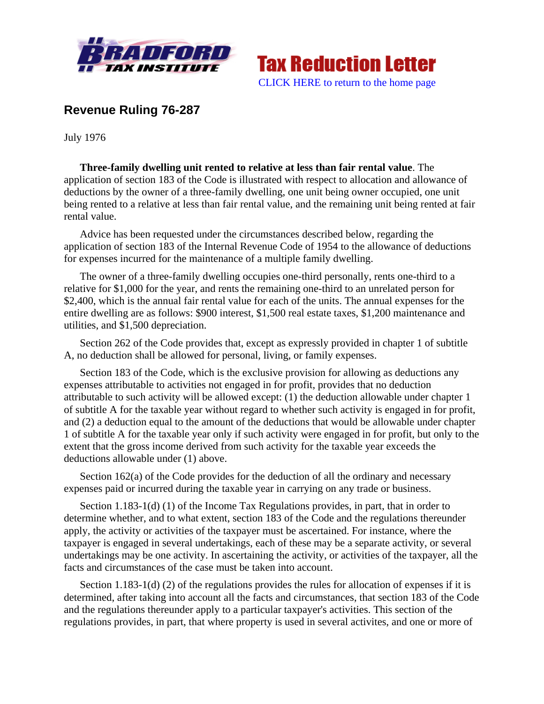



## **Revenue Ruling 76-287**

July 1976

**Three-family dwelling unit rented to relative at less than fair rental value**. The application of section 183 of the Code is illustrated with respect to allocation and allowance of deductions by the owner of a three-family dwelling, one unit being owner occupied, one unit being rented to a relative at less than fair rental value, and the remaining unit being rented at fair rental value.

Advice has been requested under the circumstances described below, regarding the application of section 183 of the Internal Revenue Code of 1954 to the allowance of deductions for expenses incurred for the maintenance of a multiple family dwelling.

The owner of a three-family dwelling occupies one-third personally, rents one-third to a relative for \$1,000 for the year, and rents the remaining one-third to an unrelated person for \$2,400, which is the annual fair rental value for each of the units. The annual expenses for the entire dwelling are as follows: \$900 interest, \$1,500 real estate taxes, \$1,200 maintenance and utilities, and \$1,500 depreciation.

Section 262 of the Code provides that, except as expressly provided in chapter 1 of subtitle A, no deduction shall be allowed for personal, living, or family expenses.

Section 183 of the Code, which is the exclusive provision for allowing as deductions any expenses attributable to activities not engaged in for profit, provides that no deduction attributable to such activity will be allowed except: (1) the deduction allowable under chapter 1 of subtitle A for the taxable year without regard to whether such activity is engaged in for profit, and (2) a deduction equal to the amount of the deductions that would be allowable under chapter 1 of subtitle A for the taxable year only if such activity were engaged in for profit, but only to the extent that the gross income derived from such activity for the taxable year exceeds the deductions allowable under (1) above.

Section 162(a) of the Code provides for the deduction of all the ordinary and necessary expenses paid or incurred during the taxable year in carrying on any trade or business.

Section 1.183-1(d) (1) of the Income Tax Regulations provides, in part, that in order to determine whether, and to what extent, section 183 of the Code and the regulations thereunder apply, the activity or activities of the taxpayer must be ascertained. For instance, where the taxpayer is engaged in several undertakings, each of these may be a separate activity, or several undertakings may be one activity. In ascertaining the activity, or activities of the taxpayer, all the facts and circumstances of the case must be taken into account.

Section 1.183-1(d) (2) of the regulations provides the rules for allocation of expenses if it is determined, after taking into account all the facts and circumstances, that section 183 of the Code and the regulations thereunder apply to a particular taxpayer's activities. This section of the regulations provides, in part, that where property is used in several activites, and one or more of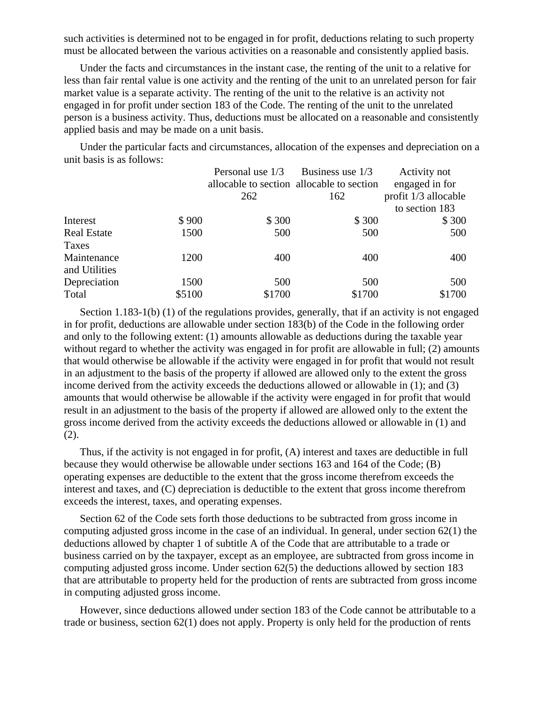such activities is determined not to be engaged in for profit, deductions relating to such property must be allocated between the various activities on a reasonable and consistently applied basis.

Under the facts and circumstances in the instant case, the renting of the unit to a relative for less than fair rental value is one activity and the renting of the unit to an unrelated person for fair market value is a separate activity. The renting of the unit to the relative is an activity not engaged in for profit under section 183 of the Code. The renting of the unit to the unrelated person is a business activity. Thus, deductions must be allocated on a reasonable and consistently applied basis and may be made on a unit basis.

Under the particular facts and circumstances, allocation of the expenses and depreciation on a unit basis is as follows:

|                    | Personal use 1/3 | Business use 1/3                          | Activity not         |
|--------------------|------------------|-------------------------------------------|----------------------|
|                    |                  | allocable to section allocable to section | engaged in for       |
|                    | 262              | 162                                       | profit 1/3 allocable |
|                    |                  |                                           | to section 183       |
| \$900<br>Interest  | \$300            | \$300                                     | \$300                |
| <b>Real Estate</b> | 1500<br>500      | 500                                       | 500                  |
| Taxes              |                  |                                           |                      |
| Maintenance        | 1200<br>400      | 400                                       | 400                  |
| and Utilities      |                  |                                           |                      |
| Depreciation       | 1500<br>500      | 500                                       | 500                  |
| \$5100<br>Total    | \$1700           | \$1700                                    | \$1700               |

Section 1.183-1(b) (1) of the regulations provides, generally, that if an activity is not engaged in for profit, deductions are allowable under section 183(b) of the Code in the following order and only to the following extent: (1) amounts allowable as deductions during the taxable year without regard to whether the activity was engaged in for profit are allowable in full; (2) amounts that would otherwise be allowable if the activity were engaged in for profit that would not result in an adjustment to the basis of the property if allowed are allowed only to the extent the gross income derived from the activity exceeds the deductions allowed or allowable in (1); and (3) amounts that would otherwise be allowable if the activity were engaged in for profit that would result in an adjustment to the basis of the property if allowed are allowed only to the extent the gross income derived from the activity exceeds the deductions allowed or allowable in (1) and (2).

Thus, if the activity is not engaged in for profit, (A) interest and taxes are deductible in full because they would otherwise be allowable under sections 163 and 164 of the Code; (B) operating expenses are deductible to the extent that the gross income therefrom exceeds the interest and taxes, and (C) depreciation is deductible to the extent that gross income therefrom exceeds the interest, taxes, and operating expenses.

Section 62 of the Code sets forth those deductions to be subtracted from gross income in computing adjusted gross income in the case of an individual. In general, under section  $62(1)$  the deductions allowed by chapter 1 of subtitle A of the Code that are attributable to a trade or business carried on by the taxpayer, except as an employee, are subtracted from gross income in computing adjusted gross income. Under section 62(5) the deductions allowed by section 183 that are attributable to property held for the production of rents are subtracted from gross income in computing adjusted gross income.

However, since deductions allowed under section 183 of the Code cannot be attributable to a trade or business, section 62(1) does not apply. Property is only held for the production of rents